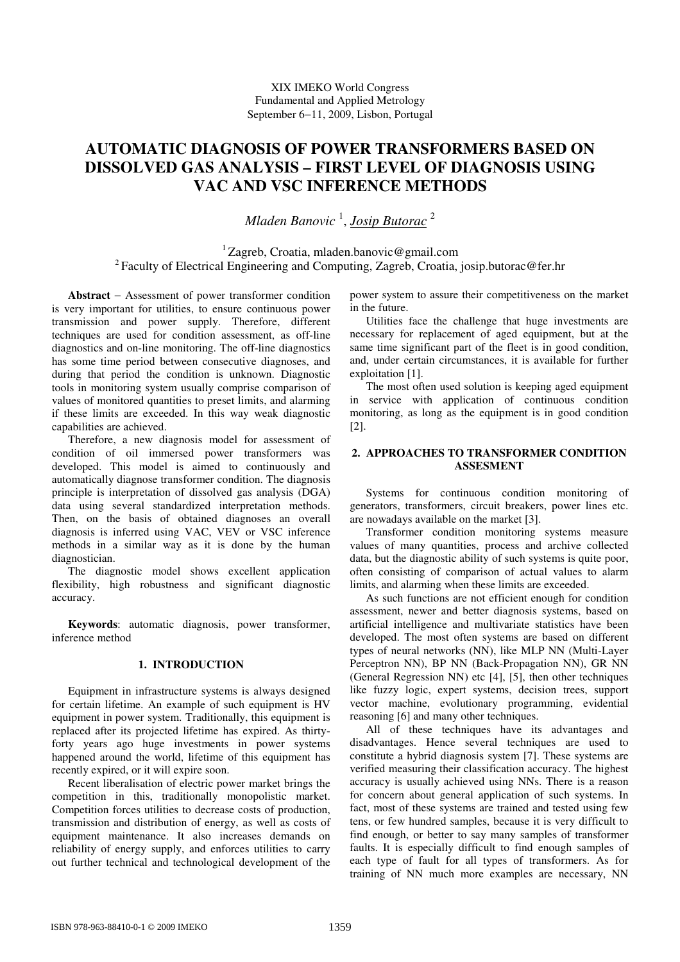# **AUTOMATIC DIAGNOSIS OF POWER TRANSFORMERS BASED ON DISSOLVED GAS ANALYSIS – FIRST LEVEL OF DIAGNOSIS USING VAC AND VSC INFERENCE METHODS**

*Mladen Banovic* 1 , *Josip Butorac* 2

 $1$ Zagreb, Croatia, mladen.banovic@gmail.com <sup>2</sup> Faculty of Electrical Engineering and Computing, Zagreb, Croatia, josip.butorac@fer.hr

**Abstract** − Assessment of power transformer condition is very important for utilities, to ensure continuous power transmission and power supply. Therefore, different techniques are used for condition assessment, as off-line diagnostics and on-line monitoring. The off-line diagnostics has some time period between consecutive diagnoses, and during that period the condition is unknown. Diagnostic tools in monitoring system usually comprise comparison of values of monitored quantities to preset limits, and alarming if these limits are exceeded. In this way weak diagnostic capabilities are achieved.

Therefore, a new diagnosis model for assessment of condition of oil immersed power transformers was developed. This model is aimed to continuously and automatically diagnose transformer condition. The diagnosis principle is interpretation of dissolved gas analysis (DGA) data using several standardized interpretation methods. Then, on the basis of obtained diagnoses an overall diagnosis is inferred using VAC, VEV or VSC inference methods in a similar way as it is done by the human diagnostician.

The diagnostic model shows excellent application flexibility, high robustness and significant diagnostic accuracy.

**Keywords**: automatic diagnosis, power transformer, inference method

# **1. INTRODUCTION**

Equipment in infrastructure systems is always designed for certain lifetime. An example of such equipment is HV equipment in power system. Traditionally, this equipment is replaced after its projected lifetime has expired. As thirtyforty years ago huge investments in power systems happened around the world, lifetime of this equipment has recently expired, or it will expire soon.

Recent liberalisation of electric power market brings the competition in this, traditionally monopolistic market. Competition forces utilities to decrease costs of production, transmission and distribution of energy, as well as costs of equipment maintenance. It also increases demands on reliability of energy supply, and enforces utilities to carry out further technical and technological development of the

power system to assure their competitiveness on the market in the future.

Utilities face the challenge that huge investments are necessary for replacement of aged equipment, but at the same time significant part of the fleet is in good condition, and, under certain circumstances, it is available for further exploitation [1].

The most often used solution is keeping aged equipment in service with application of continuous condition monitoring, as long as the equipment is in good condition [2].

# **2. APPROACHES TO TRANSFORMER CONDITION ASSESMENT**

Systems for continuous condition monitoring of generators, transformers, circuit breakers, power lines etc. are nowadays available on the market [3].

Transformer condition monitoring systems measure values of many quantities, process and archive collected data, but the diagnostic ability of such systems is quite poor, often consisting of comparison of actual values to alarm limits, and alarming when these limits are exceeded.

As such functions are not efficient enough for condition assessment, newer and better diagnosis systems, based on artificial intelligence and multivariate statistics have been developed. The most often systems are based on different types of neural networks (NN), like MLP NN (Multi-Layer Perceptron NN), BP NN (Back-Propagation NN), GR NN (General Regression NN) etc [4], [5], then other techniques like fuzzy logic, expert systems, decision trees, support vector machine, evolutionary programming, evidential reasoning [6] and many other techniques.

All of these techniques have its advantages and disadvantages. Hence several techniques are used to constitute a hybrid diagnosis system [7]. These systems are verified measuring their classification accuracy. The highest accuracy is usually achieved using NNs. There is a reason for concern about general application of such systems. In fact, most of these systems are trained and tested using few tens, or few hundred samples, because it is very difficult to find enough, or better to say many samples of transformer faults. It is especially difficult to find enough samples of each type of fault for all types of transformers. As for training of NN much more examples are necessary, NN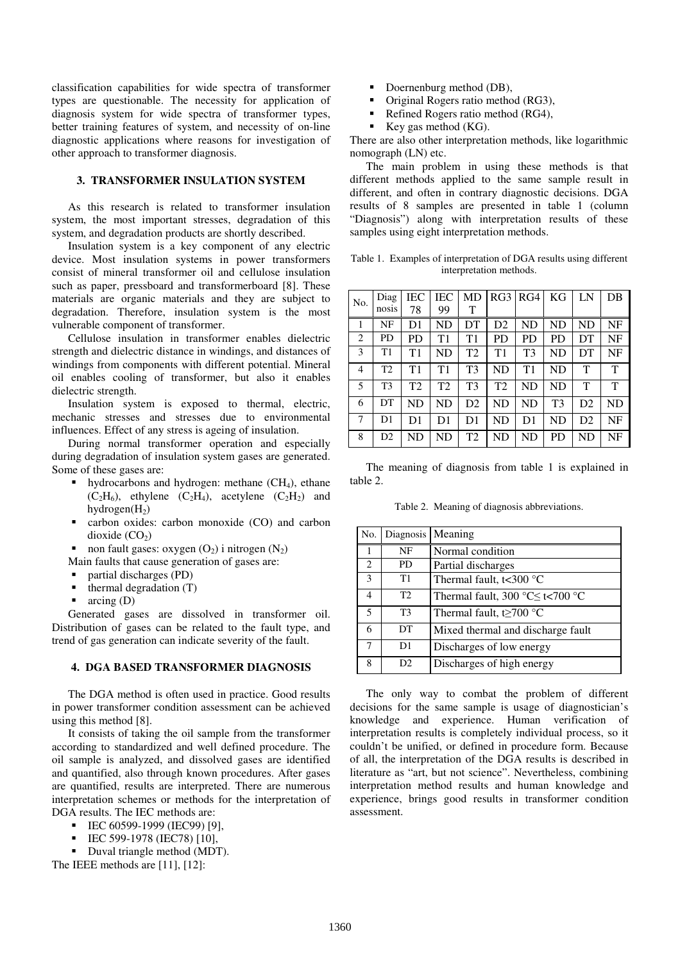classification capabilities for wide spectra of transformer types are questionable. The necessity for application of diagnosis system for wide spectra of transformer types, better training features of system, and necessity of on-line diagnostic applications where reasons for investigation of other approach to transformer diagnosis.

# **3. TRANSFORMER INSULATION SYSTEM**

As this research is related to transformer insulation system, the most important stresses, degradation of this system, and degradation products are shortly described.

Insulation system is a key component of any electric device. Most insulation systems in power transformers consist of mineral transformer oil and cellulose insulation such as paper, pressboard and transformerboard [8]. These materials are organic materials and they are subject to degradation. Therefore, insulation system is the most vulnerable component of transformer.

Cellulose insulation in transformer enables dielectric strength and dielectric distance in windings, and distances of windings from components with different potential. Mineral oil enables cooling of transformer, but also it enables dielectric strength.

Insulation system is exposed to thermal, electric, mechanic stresses and stresses due to environmental influences. Effect of any stress is ageing of insulation.

During normal transformer operation and especially during degradation of insulation system gases are generated. Some of these gases are:

- hydrocarbons and hydrogen: methane  $(CH<sub>4</sub>)$ , ethane  $(C_2H_6)$ , ethylene  $(C_2H_4)$ , acetylene  $(C_2H_2)$  and hydrogen $(H_2)$
- carbon oxides: carbon monoxide (CO) and carbon dioxide  $(CO<sub>2</sub>)$
- non fault gases: oxygen  $(O_2)$  i nitrogen  $(N_2)$
- Main faults that cause generation of gases are:
- partial discharges (PD)
- thermal degradation (T)
- arcing (D)

Generated gases are dissolved in transformer oil. Distribution of gases can be related to the fault type, and trend of gas generation can indicate severity of the fault.

## **4. DGA BASED TRANSFORMER DIAGNOSIS**

The DGA method is often used in practice. Good results in power transformer condition assessment can be achieved using this method [8].

It consists of taking the oil sample from the transformer according to standardized and well defined procedure. The oil sample is analyzed, and dissolved gases are identified and quantified, also through known procedures. After gases are quantified, results are interpreted. There are numerous interpretation schemes or methods for the interpretation of DGA results. The IEC methods are:

- $\blacksquare$  IEC 60599-1999 (IEC99) [9],
- IEC 599-1978 (IEC78) [10],
- Duval triangle method (MDT).

The IEEE methods are [11], [12]:

- Doernenburg method (DB),
- Original Rogers ratio method (RG3),
- Refined Rogers ratio method (RG4),
- Key gas method (KG).

There are also other interpretation methods, like logarithmic nomograph (LN) etc.

The main problem in using these methods is that different methods applied to the same sample result in different, and often in contrary diagnostic decisions. DGA results of 8 samples are presented in table 1 (column "Diagnosis") along with interpretation results of these samples using eight interpretation methods.

Table 1. Examples of interpretation of DGA results using different interpretation methods.

| No.            | Diag           | IEC            | <b>IEC</b> | MD             | RG3 RG4        |                | KG             | LN             | DB |
|----------------|----------------|----------------|------------|----------------|----------------|----------------|----------------|----------------|----|
|                | nosis          | 78             | 99         | T              |                |                |                |                |    |
|                | NF             | D1             | ND         | DT             | D <sub>2</sub> | ND             | ND             | ND             | NF |
| 2              | <b>PD</b>      | PD             | T1         | T1             | <b>PD</b>      | <b>PD</b>      | <b>PD</b>      | DT             | NF |
| 3              | T1             | T1             | ND         | T <sub>2</sub> | T1             | T3             | <b>ND</b>      | DT             | NF |
| $\overline{4}$ | T <sub>2</sub> | T1             | T1         | T <sub>3</sub> | <b>ND</b>      | T1             | ND             | T              | T  |
| 5              | T <sub>3</sub> | T <sub>2</sub> | T2         | T <sub>3</sub> | T <sub>2</sub> | ND             | ND             | T              | T  |
| 6              | DT             | ND             | ND         | D2             | <b>ND</b>      | ND             | T <sub>3</sub> | D <sub>2</sub> | ND |
| 7              | D <sub>1</sub> | D1             | D1         | D <sub>1</sub> | <b>ND</b>      | D <sub>1</sub> | <b>ND</b>      | D2             | NF |
| 8              | D2             | ND             | ND         | T <sub>2</sub> | <b>ND</b>      | ND             | <b>PD</b>      | ND             | NF |

The meaning of diagnosis from table 1 is explained in table 2.

Table 2. Meaning of diagnosis abbreviations.

| No.            | Diagnosis | Meaning                                                 |
|----------------|-----------|---------------------------------------------------------|
|                | NF        | Normal condition                                        |
| 2              | PD        | Partial discharges                                      |
| 3              | T1        | Thermal fault, $t<300$ °C                               |
| $\overline{4}$ | T2        | Thermal fault, 300 $\degree$ C $\leq$ t<700 $\degree$ C |
| 5              | T3        | Thermal fault, t $\geq$ 700 °C                          |
| 6              | DT        | Mixed thermal and discharge fault                       |
| 7              | D1        | Discharges of low energy                                |
| 8              | D2        | Discharges of high energy                               |

The only way to combat the problem of different decisions for the same sample is usage of diagnostician's knowledge and experience. Human verification of interpretation results is completely individual process, so it couldn't be unified, or defined in procedure form. Because of all, the interpretation of the DGA results is described in literature as "art, but not science". Nevertheless, combining interpretation method results and human knowledge and experience, brings good results in transformer condition assessment.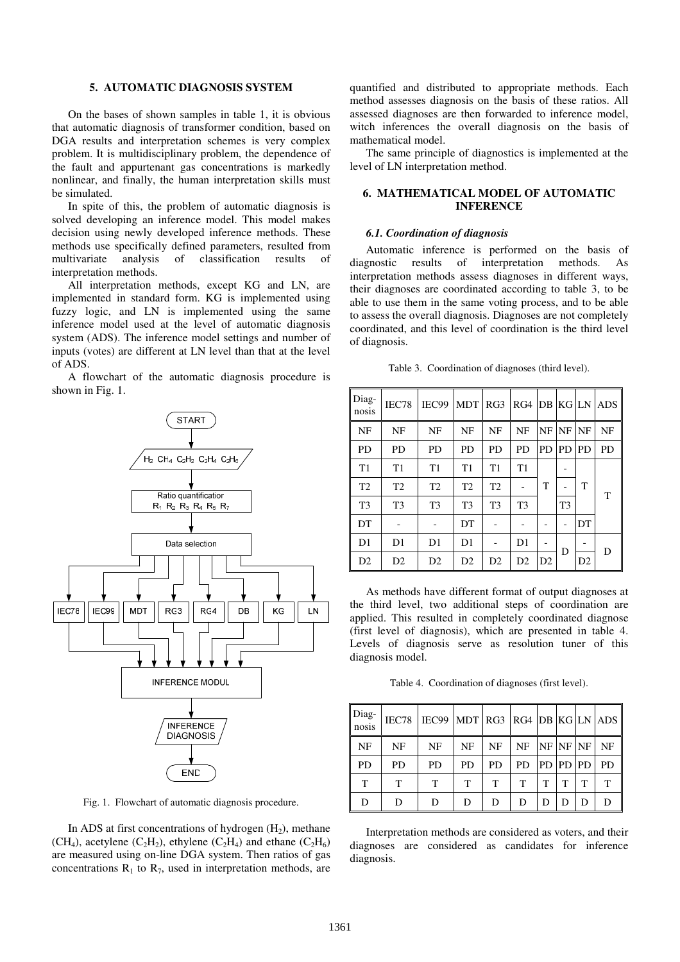# **5. AUTOMATIC DIAGNOSIS SYSTEM**

On the bases of shown samples in table 1, it is obvious that automatic diagnosis of transformer condition, based on DGA results and interpretation schemes is very complex problem. It is multidisciplinary problem, the dependence of the fault and appurtenant gas concentrations is markedly nonlinear, and finally, the human interpretation skills must be simulated.

In spite of this, the problem of automatic diagnosis is solved developing an inference model. This model makes decision using newly developed inference methods. These methods use specifically defined parameters, resulted from multivariate analysis of classification results interpretation methods.

All interpretation methods, except KG and LN, are implemented in standard form. KG is implemented using fuzzy logic, and LN is implemented using the same inference model used at the level of automatic diagnosis system (ADS). The inference model settings and number of inputs (votes) are different at LN level than that at the level of ADS.

A flowchart of the automatic diagnosis procedure is shown in Fig. 1.



Fig. 1. Flowchart of automatic diagnosis procedure.

In ADS at first concentrations of hydrogen  $(H<sub>2</sub>)$ , methane (CH<sub>4</sub>), acetylene (C<sub>2</sub>H<sub>2</sub>), ethylene (C<sub>2</sub>H<sub>4</sub>) and ethane (C<sub>2</sub>H<sub>6</sub>) are measured using on-line DGA system. Then ratios of gas concentrations  $R_1$  to  $R_7$ , used in interpretation methods, are

quantified and distributed to appropriate methods. Each method assesses diagnosis on the basis of these ratios. All assessed diagnoses are then forwarded to inference model, witch inferences the overall diagnosis on the basis of mathematical model.

The same principle of diagnostics is implemented at the level of LN interpretation method.

## **6. MATHEMATICAL MODEL OF AUTOMATIC INFERENCE**

#### *6.1. Coordination of diagnosis*

Automatic inference is performed on the basis of diagnostic results of interpretation methods. As interpretation methods assess diagnoses in different ways, their diagnoses are coordinated according to table 3, to be able to use them in the same voting process, and to be able to assess the overall diagnosis. Diagnoses are not completely coordinated, and this level of coordination is the third level of diagnosis.

| Diag-<br>nosis | IEC78          | IEC99          | <b>MDT</b>     | RG3            | RG4            |           | DB KG LN       |           | ADS - |
|----------------|----------------|----------------|----------------|----------------|----------------|-----------|----------------|-----------|-------|
| <b>NF</b>      | NF             | <b>NF</b>      | <b>NF</b>      | NF             | NF             | NF        | NF             | NF        | NF    |
| PD             | <b>PD</b>      | <b>PD</b>      | <b>PD</b>      | <b>PD</b>      | <b>PD</b>      | <b>PD</b> | <b>PD</b>      | <b>PD</b> | PD    |
| T1             | T1             | T1             | T1             | T1             | T1             |           |                |           |       |
| T <sub>2</sub> | T <sub>2</sub> | T <sub>2</sub> | T <sub>2</sub> | T <sub>2</sub> |                | т         |                | T         | T     |
| T <sub>3</sub> | T <sub>3</sub> | T <sub>3</sub> | T <sub>3</sub> | T <sub>3</sub> | T <sub>3</sub> |           | T <sub>3</sub> |           |       |
| DT             |                |                | DT             |                |                |           |                | DT        |       |
| D <sub>1</sub> | D <sub>1</sub> | D1             | D <sub>1</sub> |                | D1             |           | D              |           | D     |
| D2             | D2             | D2             | D2             | D2             | D2             | D2        |                | D2        |       |

Table 3. Coordination of diagnoses (third level).

As methods have different format of output diagnoses at the third level, two additional steps of coordination are applied. This resulted in completely coordinated diagnose (first level of diagnosis), which are presented in table 4. Levels of diagnosis serve as resolution tuner of this diagnosis model.

Table 4. Coordination of diagnoses (first level).

| Diag-<br>nosis | IEC78     | IEC99 | $MDT$ RG3 RG4 DB KG LN ADS |    |    |       |    |           |     |
|----------------|-----------|-------|----------------------------|----|----|-------|----|-----------|-----|
| NF             | NF        | NF    | NF                         | NF | NF | NF    | NF | NF        | NF  |
| <b>PD</b>      | <b>PD</b> | PD    | PD                         | PD | PD | PD PD |    | <b>PD</b> | PD. |
| т              | T         | T     | T                          | т  | т  | т     |    | т         | Т   |
| D              | D         | D     | D                          | D  | D  | D     |    | D         | D   |

Interpretation methods are considered as voters, and their diagnoses are considered as candidates for inference diagnosis.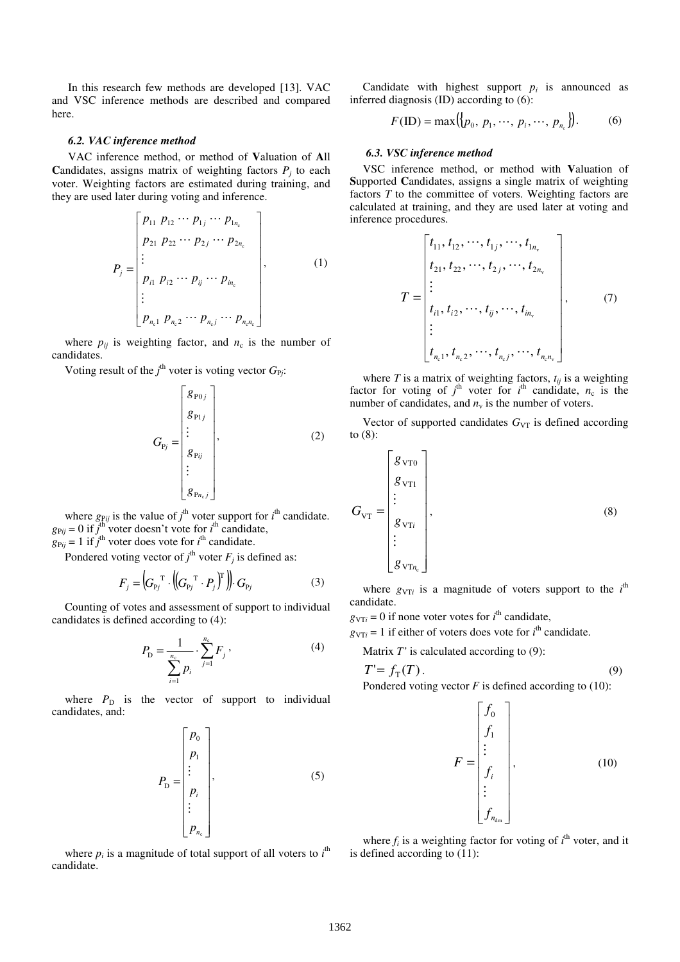In this research few methods are developed [13]. VAC and VSC inference methods are described and compared here.

## *6.2. VAC inference method*

VAC inference method, or method of **V**aluation of **A**ll **Candidates, assigns matrix of weighting factors**  $P_j$  **to each** voter. Weighting factors are estimated during training, and they are used later during voting and inference.

$$
P_{j} = \begin{bmatrix} p_{11} & p_{12} & \cdots & p_{1j} & \cdots & p_{1n_{c}} \\ p_{21} & p_{22} & \cdots & p_{2j} & \cdots & p_{2n_{c}} \\ \vdots & & & & \\ p_{i1} & p_{i2} & \cdots & p_{ij} & \cdots & p_{in_{c}} \\ \vdots & & & & \\ p_{n_{c}1} & p_{n_{c}2} & \cdots & p_{n_{c}j} & \cdots & p_{n_{c}n_{c}} \end{bmatrix},
$$
 (1)

where  $p_{ij}$  is weighting factor, and  $n_c$  is the number of candidates.

Voting result of the  $j^{\text{th}}$  voter is voting vector  $G_{Pj}$ :

$$
G_{\mathbf{p}_j} = \begin{bmatrix} g_{\mathbf{p}_{0j}} \\ g_{\mathbf{p}_{1j}} \\ \vdots \\ g_{\mathbf{p}_{ij}} \\ g_{\mathbf{p}_{n_c j}} \end{bmatrix},
$$
 (2)

where  $g_{Pij}$  is the value of  $j^{\text{th}}$  voter support for  $i^{\text{th}}$  candidate.  $g_{Pij} = 0$  if  $j^{\text{th}}$  voter doesn't vote for  $i^{\text{th}}$  candidate,  $g_{Pij} = 1$  if  $j^{\text{th}}$  voter does vote for  $i^{\text{th}}$  candidate.

Pondered voting vector of  $j^{\text{th}}$  voter  $F_j$  is defined as:

$$
F_j = \left(G_{\mathbf{p}_j}^{\mathsf{T}} \cdot \left( \left(G_{\mathbf{p}_j}^{\mathsf{T}} \cdot P_j\right)^{\mathsf{T}} \right) \right) \cdot G_{\mathbf{p}_j} \tag{3}
$$

Counting of votes and assessment of support to individual candidates is defined according to (4):

$$
P_{\rm D} = \frac{1}{\sum_{i=1}^{n_{\rm c}} p_i} \cdot \sum_{j=1}^{n_{\rm c}} F_j \,, \tag{4}
$$

where  $P_D$  is the vector of support to individual candidates, and:

$$
P_{\rm D} = \begin{bmatrix} p_0 \\ p_1 \\ \vdots \\ p_i \\ \vdots \\ p_{n_{\rm c}} \end{bmatrix}, \tag{5}
$$

where  $p_i$  is a magnitude of total support of all voters to  $i^{\text{th}}$ candidate.

Candidate with highest support  $p_i$  is announced as inferred diagnosis (ID) according to (6):

$$
F(\text{ID}) = \max({p_0, p_1, \cdots, p_i, \cdots, p_{n_c}}).
$$
 (6)

#### *6.3. VSC inference method*

VSC inference method, or method with **V**aluation of **S**upported **C**andidates, assigns a single matrix of weighting factors *T* to the committee of voters. Weighting factors are calculated at training, and they are used later at voting and inference procedures.

$$
T = \begin{bmatrix} t_{11}, t_{12}, \cdots, t_{1j}, \cdots, t_{1n_v} \\ t_{21}, t_{22}, \cdots, t_{2j}, \cdots, t_{2n_v} \\ \vdots \\ t_{i1}, t_{i2}, \cdots, t_{ij}, \cdots, t_{in_v} \\ \vdots \\ t_{n_v 1}, t_{n_v 2}, \cdots, t_{n_v j}, \cdots, t_{n_v n_v} \end{bmatrix},
$$
 (7)

where *T* is a matrix of weighting factors,  $t_{ij}$  is a weighting factor for voting of  $j^{\text{th}}$  voter for  $i^{\text{th}}$  candidate,  $n_c$  is the number of candidates, and  $n_v$  is the number of voters.

Vector of supported candidates  $G_{VT}$  is defined according to (8):

$$
G_{\rm VT} = \begin{bmatrix} g_{\rm VT0} \\ g_{\rm VT1} \\ \vdots \\ g_{\rm VTi} \\ \vdots \\ g_{\rm VTn_c} \end{bmatrix}, \tag{8}
$$

where  $g_{\text{V}\text{T}i}$  is a magnitude of voters support to the  $i^{\text{th}}$ candidate.

 $g_{\text{V}Ti} = 0$  if none voter votes for  $i^{\text{th}}$  candidate,

 $g_{\text{V}Ti} = 1$  if either of voters does vote for  $i^{\text{th}}$  candidate.

Matrix *T'* is calculated according to (9):

$$
T' = f_{\rm T}(T). \tag{9}
$$

Pondered voting vector *F* is defined according to (10):

$$
F = \begin{bmatrix} f_0 \\ f_1 \\ \vdots \\ f_i \\ \vdots \\ f_{n_{\text{dm}}} \end{bmatrix}, \tag{10}
$$

where  $f_i$  is a weighting factor for voting of  $i^{\text{th}}$  voter, and it is defined according to (11):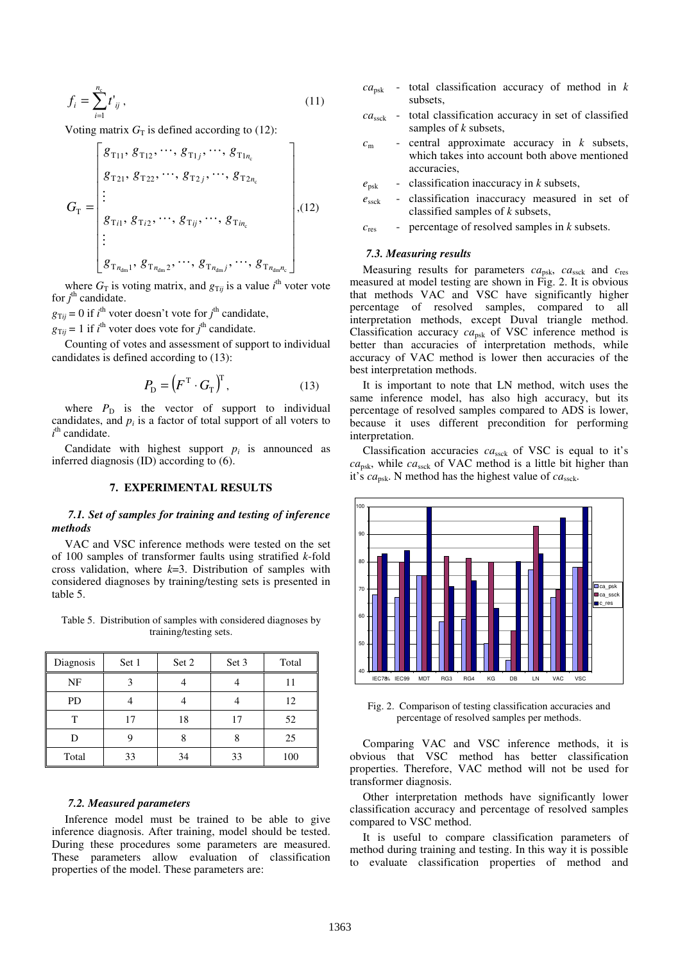$$
f_i = \sum_{i=1}^{n_c} t'_{ij},
$$
\n(11)

Voting matrix  $G_T$  is defined according to (12):

$$
G_{\text{T}} = \begin{bmatrix} g_{\text{T}_{11}}, g_{\text{T}_{12}}, \cdots, g_{\text{T}_{1j}}, \cdots, g_{\text{T}_{1n_c}} \\ g_{\text{T}_{21}}, g_{\text{T}_{22}}, \cdots, g_{\text{T}_{2j}}, \cdots, g_{\text{T}_{2n_c}} \\ \vdots \\ g_{\text{T}_{i1}}, g_{\text{T}_{i2}}, \cdots, g_{\text{T}_{ij}}, \cdots, g_{\text{T}_{in_c}} \\ \vdots \\ g_{\text{T}_{n_{dm1}}}, g_{\text{T}_{n_{dm2}}}, \cdots, g_{\text{T}_{n_{dmj}}}, \cdots, g_{\text{T}_{n_{dm}n_c}} \end{bmatrix}, (12)
$$

where  $G_T$  is voting matrix, and  $g_{Tij}$  is a value *i*<sup>th</sup> voter vote for  $j^{\text{th}}$  candidate.

 $g_{Tij} = 0$  if  $i^{\text{th}}$  voter doesn't vote for  $j^{\text{th}}$  candidate,  $g_{\text{T}ij} = 1$  if *i*<sup>th</sup> voter does vote for *j*<sup>th</sup> candidate.

Counting of votes and assessment of support to individual candidates is defined according to (13):

$$
P_{\mathcal{D}} = \left( F^{\mathrm{T}} \cdot G_{\mathrm{T}} \right)^{\mathrm{T}},\tag{13}
$$

where  $P_D$  is the vector of support to individual candidates, and  $p_i$  is a factor of total support of all voters to  $i<sup>th</sup>$  candidate.

Candidate with highest support  $p_i$  is announced as inferred diagnosis (ID) according to (6).

#### **7. EXPERIMENTAL RESULTS**

### *7.1. Set of samples for training and testing of inference methods*

VAC and VSC inference methods were tested on the set of 100 samples of transformer faults using stratified *k*-fold cross validation, where *k*=3. Distribution of samples with considered diagnoses by training/testing sets is presented in table 5.

Table 5. Distribution of samples with considered diagnoses by training/testing sets.

| Diagnosis | Set 1 | Set 2 | Set 3 | Total |
|-----------|-------|-------|-------|-------|
| NF        |       |       |       |       |
| PD        |       |       |       | 12    |
| т         | 17    | 18    | 17    | 52    |
| D         |       |       |       | 25    |
| Total     | 33    | 34    | 33    | 100   |

#### *7.2. Measured parameters*

Inference model must be trained to be able to give inference diagnosis. After training, model should be tested. During these procedures some parameters are measured. These parameters allow evaluation of classification properties of the model. These parameters are:

- *ca*psk total classification accuracy of method in *k* subsets,
- *ca*ssck total classification accuracy in set of classified samples of *k* subsets,
- *c*<sup>m</sup> central approximate accuracy in *k* subsets, which takes into account both above mentioned accuracies,
- $e_{psk}$  classification inaccuracy in *k* subsets,
- $e<sub>sc</sub>$  classification inaccuracy measured in set of classified samples of *k* subsets,
- *c*res percentage of resolved samples in *k* subsets.

#### *7.3. Measuring results*

Measuring results for parameters  $ca_{psk}$ ,  $ca_{ssck}$  and  $c_{res}$ measured at model testing are shown in Fig. 2. It is obvious that methods VAC and VSC have significantly higher percentage of resolved samples, compared to all interpretation methods, except Duval triangle method. Classification accuracy  $ca_{psk}$  of VSC inference method is better than accuracies of interpretation methods, while accuracy of VAC method is lower then accuracies of the best interpretation methods.

It is important to note that LN method, witch uses the same inference model, has also high accuracy, but its percentage of resolved samples compared to ADS is lower, because it uses different precondition for performing interpretation.

Classification accuracies  $ca_{\text{ssck}}$  of VSC is equal to it's  $ca<sub>psk</sub>$ , while  $ca<sub>ssck</sub>$  of VAC method is a little bit higher than it's *ca*<sub>psk</sub>. N method has the highest value of *ca*<sub>ssck</sub>.



Fig. 2. Comparison of testing classification accuracies and percentage of resolved samples per methods.

Comparing VAC and VSC inference methods, it is obvious that VSC method has better classification properties. Therefore, VAC method will not be used for transformer diagnosis.

Other interpretation methods have significantly lower classification accuracy and percentage of resolved samples compared to VSC method.

It is useful to compare classification parameters of method during training and testing. In this way it is possible to evaluate classification properties of method and